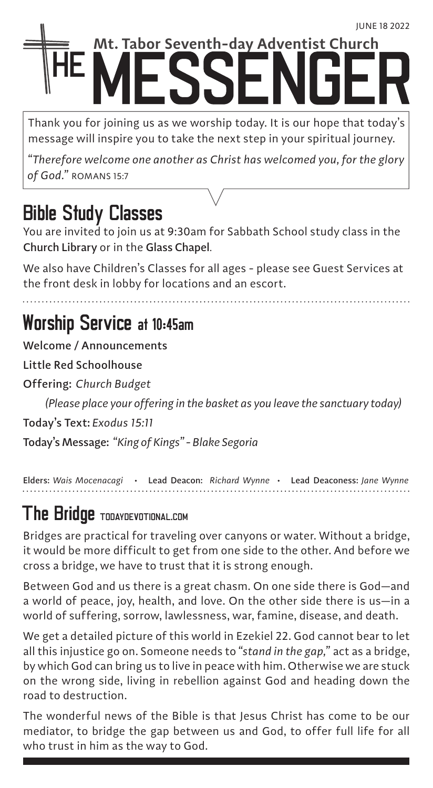# **Mt. Tabor Seventh-day Adventist Church**

Thank you for joining us as we worship today. It is our hope that today's message will inspire you to take the next step in your spiritual journey.

*"Therefore welcome one another as Christ has welcomed you, for the glory of God."* ROMANS 15:7

## Bible Study Classes

You are invited to join us at 9:30am for Sabbath School study class in the Church Library or in the Glass Chapel.

We also have Children's Classes for all ages - please see Guest Services at the front desk in lobby for locations and an escort.

### Worship Service at 10:45am

Welcome / Announcements

Little Red Schoolhouse

Offering: *Church Budget*

*(Please place your offering in the basket as you leave the sanctuary today)* 

Today's Text: *Exodus 15:11*

Today's Message: *"King of Kings" - Blake Segoria*

Elders: *Wais Mocenacagi* • Lead Deacon: *Richard Wynne* • Lead Deaconess: *Jane Wynne*

## The Bridge TODAYDEVOTIONAL.COM

Bridges are practical for traveling over canyons or water. Without a bridge, it would be more difficult to get from one side to the other. And before we cross a bridge, we have to trust that it is strong enough.

Between God and us there is a great chasm. On one side there is God—and a world of peace, joy, health, and love. On the other side there is us—in a world of suffering, sorrow, lawlessness, war, famine, disease, and death.

We get a detailed picture of this world in Ezekiel 22. God cannot bear to let all this injustice go on. Someone needs to *"stand in the gap,"* act as a bridge, by which God can bring us to live in peace with him. Otherwise we are stuck on the wrong side, living in rebellion against God and heading down the road to destruction.

The wonderful news of the Bible is that Jesus Christ has come to be our mediator, to bridge the gap between us and God, to offer full life for all who trust in him as the way to God.